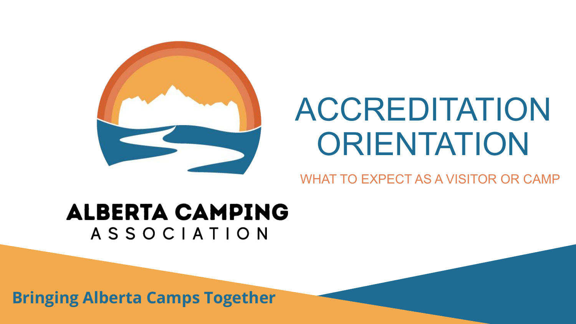

# ACCREDITATION **ORIENTATION**

#### WHAT TO EXPECT AS A VISITOR OR CAMP

#### **ALBERTA CAMPING** ASSOCIATION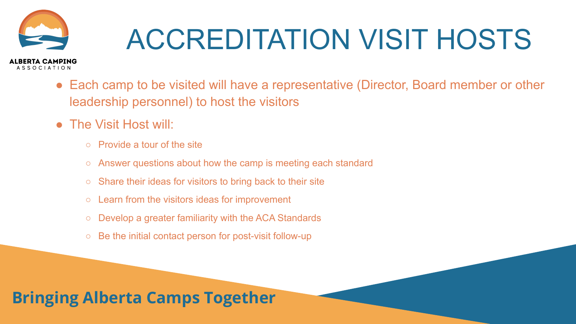

# ACCREDITATION VISIT HOSTS

- Each camp to be visited will have a representative (Director, Board member or other leadership personnel) to host the visitors
- The Visit Host will:
	- Provide a tour of the site
	- Answer questions about how the camp is meeting each standard
	- Share their ideas for visitors to bring back to their site
	- Learn from the visitors ideas for improvement
	- Develop a greater familiarity with the ACA Standards
	- Be the initial contact person for post-visit follow-up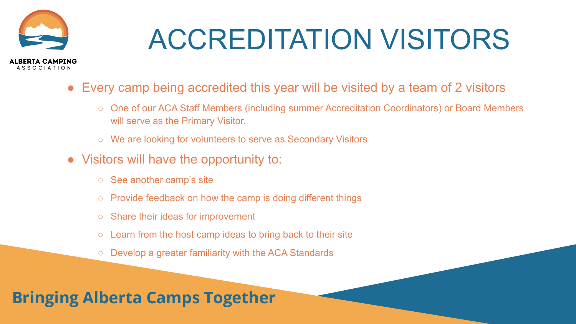

# ACCREDITATION VISITORS

- Every camp being accredited this year will be visited by a team of 2 visitors
	- One of our ACA Staff Members (including summer Accreditation Coordinators) or Board Members will serve as the Primary Visitor.
	- We are looking for volunteers to serve as Secondary Visitors
- Visitors will have the opportunity to:
	- See another camp's site
	- $\circ$  Provide feedback on how the camp is doing different things
	- Share their ideas for improvement
	- $\circ$  Learn from the host camp ideas to bring back to their site
	- Develop a greater familiarity with the ACA Standards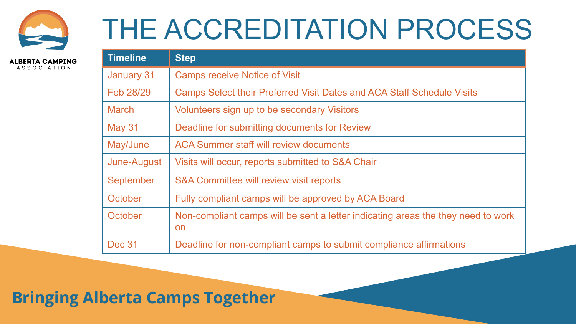

## THE ACCREDITATION PROCESS

**ALBERTA CAMPING ASSOCIATION** 

| <b>Timeline</b> | <b>Step</b>                                                                            |
|-----------------|----------------------------------------------------------------------------------------|
| January 31      | <b>Camps receive Notice of Visit</b>                                                   |
| Feb 28/29       | Camps Select their Preferred Visit Dates and ACA Staff Schedule Visits                 |
| <b>March</b>    | Volunteers sign up to be secondary Visitors                                            |
| <b>May 31</b>   | Deadline for submitting documents for Review                                           |
| May/June        | ACA Summer staff will review documents                                                 |
| June-August     | Visits will occur, reports submitted to S&A Chair                                      |
| September       | S&A Committee will review visit reports                                                |
| October         | Fully compliant camps will be approved by ACA Board                                    |
| October         | Non-compliant camps will be sent a letter indicating areas the they need to work<br>on |
| <b>Dec 31</b>   | Deadline for non-compliant camps to submit compliance affirmations                     |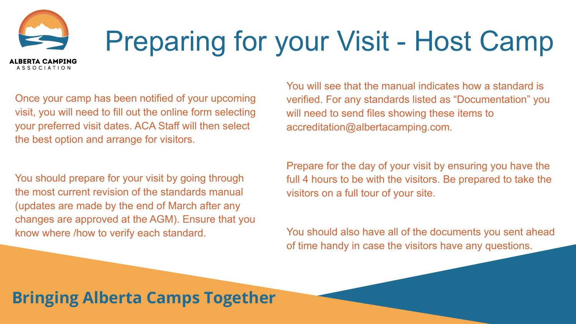# Preparing for your Visit - Host Camp

Once your camp has been notified of your upcoming visit, you will need to fill out the online form selecting your preferred visit dates. ACA Staff will then select the best option and arrange for visitors.

ALBERTA CAMPING **ASSOCIATION** 

You should prepare for your visit by going through the most current revision of the standards manual (updates are made by the end of March after any changes are approved at the AGM). Ensure that you know where /how to verify each standard.

You will see that the manual indicates how a standard is verified. For any standards listed as "Documentation" you will need to send files showing these items to accreditation@albertacamping.com.

Prepare for the day of your visit by ensuring you have the full 4 hours to be with the visitors. Be prepared to take the visitors on a full tour of your site.

You should also have all of the documents you sent ahead of time handy in case the visitors have any questions.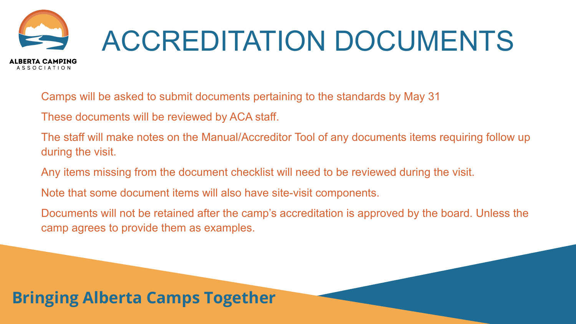

# ACCREDITATION DOCUMENTS

Camps will be asked to submit documents pertaining to the standards by May 31

These documents will be reviewed by ACA staff.

The staff will make notes on the Manual/Accreditor Tool of any documents items requiring follow up during the visit.

Any items missing from the document checklist will need to be reviewed during the visit.

Note that some document items will also have site-visit components.

Documents will not be retained after the camp's accreditation is approved by the board. Unless the camp agrees to provide them as examples.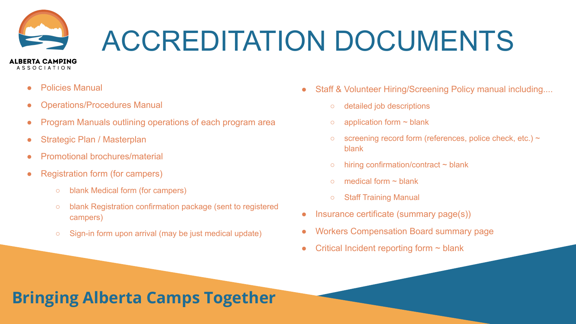

# ACCREDITATION DOCUMENTS

● Policies Manual

- Operations/Procedures Manual
- Program Manuals outlining operations of each program area
- Strategic Plan / Masterplan
- Promotional brochures/material
- Registration form (for campers)
	- blank Medical form (for campers)
	- blank Registration confirmation package (sent to registered campers)
	- Sign-in form upon arrival (may be just medical update)
- Staff & Volunteer Hiring/Screening Policy manual including....
	- detailed job descriptions
	- $\circ$  application form  $\sim$  blank
	- $\circ$  screening record form (references, police check, etc.)  $\sim$ blank
	- $\circ$  hiring confirmation/contract  $\sim$  blank
	- $\circ$  medical form  $\sim$  blank
	- Staff Training Manual
- Insurance certificate (summary page(s))
- Workers Compensation Board summary page
- Critical Incident reporting form  $\sim$  blank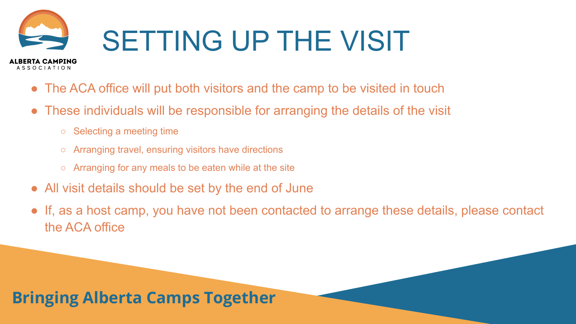

- The ACA office will put both visitors and the camp to be visited in touch
- These individuals will be responsible for arranging the details of the visit
	- Selecting a meeting time

- Arranging travel, ensuring visitors have directions
- $\circ$  Arranging for any meals to be eaten while at the site
- All visit details should be set by the end of June
- If, as a host camp, you have not been contacted to arrange these details, please contact the ACA office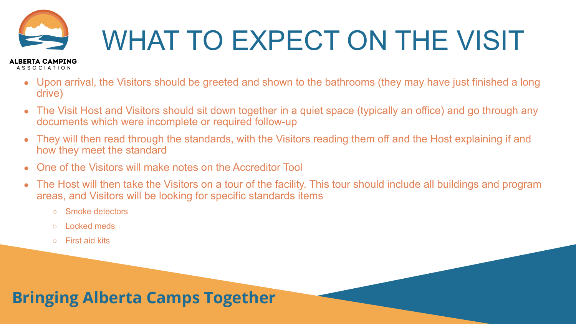

# WHAT TO EXPECT ON THE VISIT

#### **ALBERTA CAMPING ASSOCIATION**

- Upon arrival, the Visitors should be greeted and shown to the bathrooms (they may have just finished a long drive)
- The Visit Host and Visitors should sit down together in a quiet space (typically an office) and go through any documents which were incomplete or required follow-up
- They will then read through the standards, with the Visitors reading them off and the Host explaining if and how they meet the standard
- One of the Visitors will make notes on the Accreditor Tool
- The Host will then take the Visitors on a tour of the facility. This tour should include all buildings and program areas, and Visitors will be looking for specific standards items
	- Smoke detectors
	- Locked meds
	- First aid kits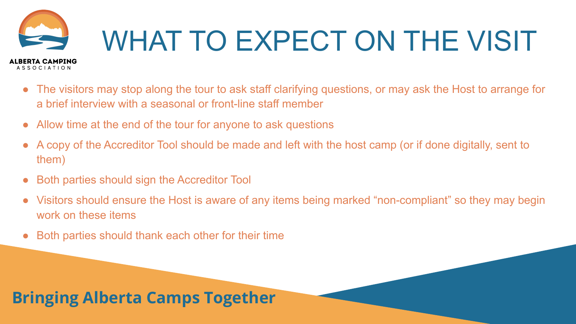

- The visitors may stop along the tour to ask staff clarifying questions, or may ask the Host to arrange for a brief interview with a seasonal or front-line staff member
- Allow time at the end of the tour for anyone to ask questions
- A copy of the Accreditor Tool should be made and left with the host camp (or if done digitally, sent to them)
- **Both parties should sign the Accreditor Tool**
- Visitors should ensure the Host is aware of any items being marked "non-compliant" so they may begin work on these items
- Both parties should thank each other for their time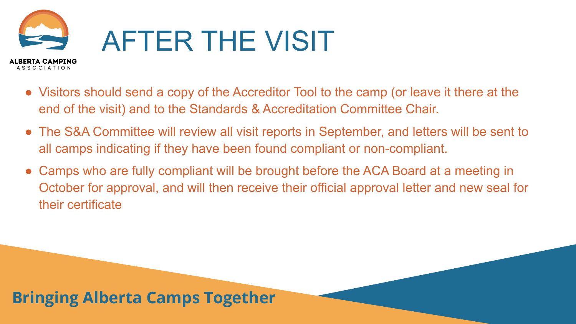

- Visitors should send a copy of the Accreditor Tool to the camp (or leave it there at the end of the visit) and to the Standards & Accreditation Committee Chair.
- The S&A Committee will review all visit reports in September, and letters will be sent to all camps indicating if they have been found compliant or non-compliant.
- Camps who are fully compliant will be brought before the ACA Board at a meeting in October for approval, and will then receive their official approval letter and new seal for their certificate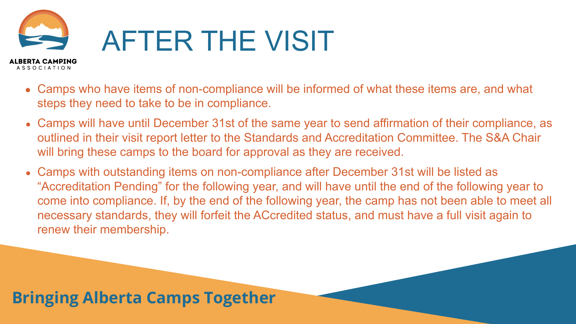

- Camps who have items of non-compliance will be informed of what these items are, and what steps they need to take to be in compliance.
- Camps will have until December 31st of the same year to send affirmation of their compliance, as outlined in their visit report letter to the Standards and Accreditation Committee. The S&A Chair will bring these camps to the board for approval as they are received.
- Camps with outstanding items on non-compliance after December 31st will be listed as "Accreditation Pending" for the following year, and will have until the end of the following year to come into compliance. If, by the end of the following year, the camp has not been able to meet all necessary standards, they will forfeit the ACcredited status, and must have a full visit again to renew their membership.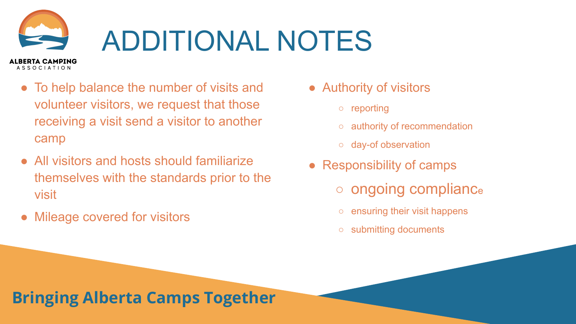### ADDITIONAL NOTES ALBERTA CAMPING

- To help balance the number of visits and volunteer visitors, we request that those receiving a visit send a visitor to another camp
- All visitors and hosts should familiarize themselves with the standards prior to the visit
- **Mileage covered for visitors**

**ASSOCIATION** 

- Authority of visitors
	- reporting
	- authority of recommendation
	- day-of observation
- Responsibility of camps
	- ongoing complianc<sup>e</sup>
	- ensuring their visit happens
	- submitting documents